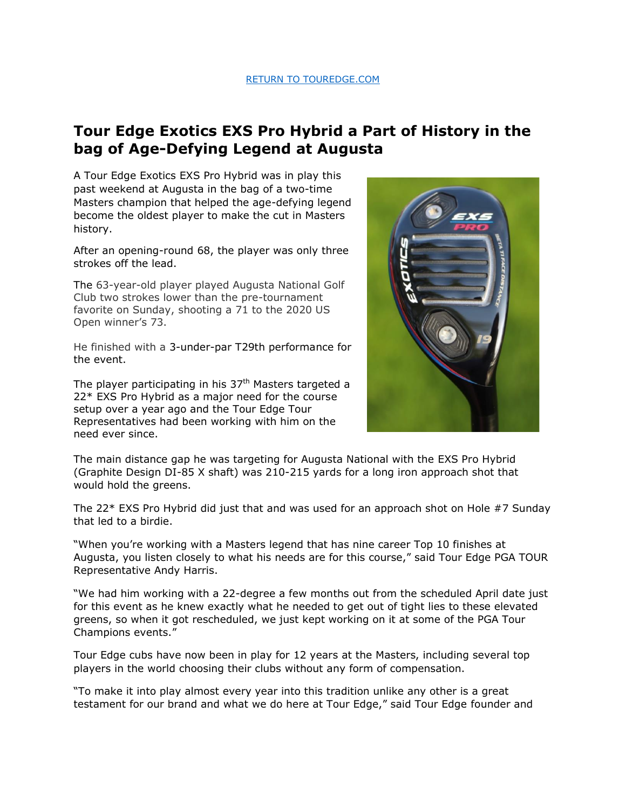## **Tour Edge Exotics EXS Pro Hybrid a Part of History in the bag of Age-Defying Legend at Augusta**

A Tour Edge Exotics EXS Pro Hybrid was in play this past weekend at Augusta in the bag of a two-time Masters champion that helped the age-defying legend become the oldest player to make the cut in Masters history.

After an opening-round 68, the player was only three strokes off the lead.

The 63-year-old player played Augusta National Golf Club two strokes lower than the pre-tournament favorite on Sunday, shooting a 71 to the 2020 US Open winner's 73.

He finished with a 3-under-par T29th performance for the event.

The player participating in his  $37<sup>th</sup>$  Masters targeted a 22\* EXS Pro Hybrid as a major need for the course setup over a year ago and the Tour Edge Tour Representatives had been working with him on the need ever since.



The main distance gap he was targeting for Augusta National with the EXS Pro Hybrid (Graphite Design DI-85 X shaft) was 210-215 yards for a long iron approach shot that would hold the greens.

The 22\* EXS Pro Hybrid did just that and was used for an approach shot on Hole #7 Sunday that led to a birdie.

"When you're working with a Masters legend that has nine career Top 10 finishes at Augusta, you listen closely to what his needs are for this course," said Tour Edge PGA TOUR Representative Andy Harris.

"We had him working with a 22-degree a few months out from the scheduled April date just for this event as he knew exactly what he needed to get out of tight lies to these elevated greens, so when it got rescheduled, we just kept working on it at some of the PGA Tour Champions events."

Tour Edge cubs have now been in play for 12 years at the Masters, including several top players in the world choosing their clubs without any form of compensation.

"To make it into play almost every year into this tradition unlike any other is a great testament for our brand and what we do here at Tour Edge," said Tour Edge founder and